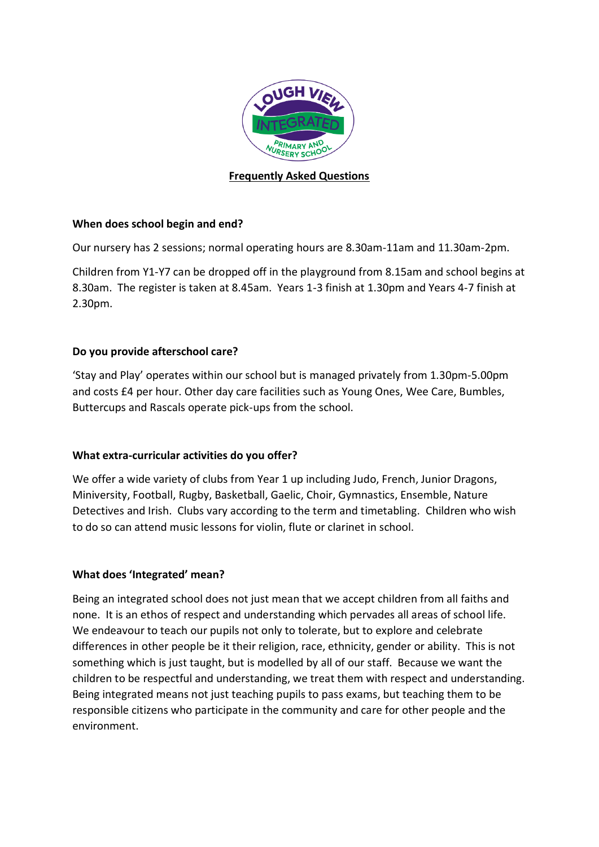

# **Frequently Asked Questions**

## **When does school begin and end?**

Our nursery has 2 sessions; normal operating hours are 8.30am-11am and 11.30am-2pm.

Children from Y1-Y7 can be dropped off in the playground from 8.15am and school begins at 8.30am. The register is taken at 8.45am. Years 1-3 finish at 1.30pm and Years 4-7 finish at 2.30pm.

# **Do you provide afterschool care?**

'Stay and Play' operates within our school but is managed privately from 1.30pm-5.00pm and costs £4 per hour. Other day care facilities such as Young Ones, Wee Care, Bumbles, Buttercups and Rascals operate pick-ups from the school.

## **What extra-curricular activities do you offer?**

We offer a wide variety of clubs from Year 1 up including Judo, French, Junior Dragons, Miniversity, Football, Rugby, Basketball, Gaelic, Choir, Gymnastics, Ensemble, Nature Detectives and Irish. Clubs vary according to the term and timetabling. Children who wish to do so can attend music lessons for violin, flute or clarinet in school.

## **What does 'Integrated' mean?**

Being an integrated school does not just mean that we accept children from all faiths and none. It is an ethos of respect and understanding which pervades all areas of school life. We endeavour to teach our pupils not only to tolerate, but to explore and celebrate differences in other people be it their religion, race, ethnicity, gender or ability. This is not something which is just taught, but is modelled by all of our staff. Because we want the children to be respectful and understanding, we treat them with respect and understanding. Being integrated means not just teaching pupils to pass exams, but teaching them to be responsible citizens who participate in the community and care for other people and the environment.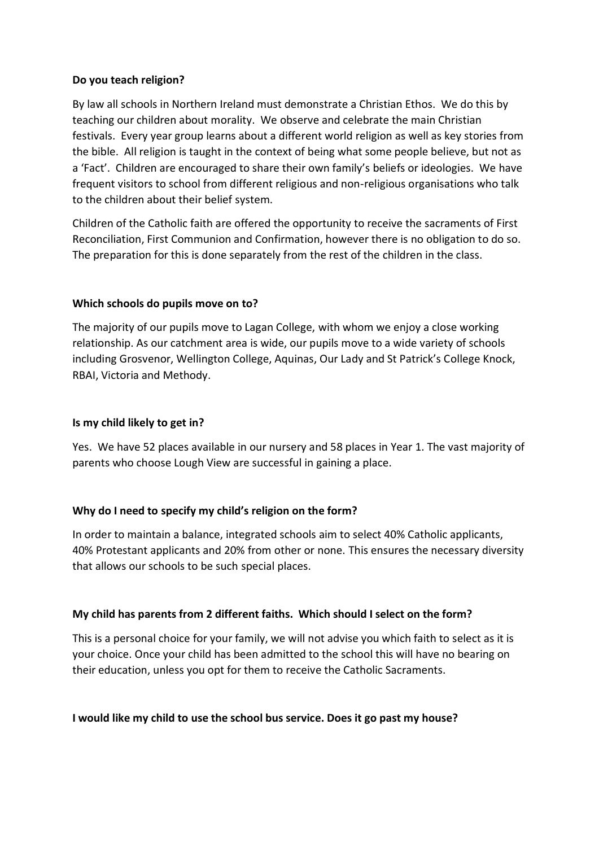### **Do you teach religion?**

By law all schools in Northern Ireland must demonstrate a Christian Ethos. We do this by teaching our children about morality. We observe and celebrate the main Christian festivals. Every year group learns about a different world religion as well as key stories from the bible. All religion is taught in the context of being what some people believe, but not as a 'Fact'. Children are encouraged to share their own family's beliefs or ideologies. We have frequent visitors to school from different religious and non-religious organisations who talk to the children about their belief system.

Children of the Catholic faith are offered the opportunity to receive the sacraments of First Reconciliation, First Communion and Confirmation, however there is no obligation to do so. The preparation for this is done separately from the rest of the children in the class.

## **Which schools do pupils move on to?**

The majority of our pupils move to Lagan College, with whom we enjoy a close working relationship. As our catchment area is wide, our pupils move to a wide variety of schools including Grosvenor, Wellington College, Aquinas, Our Lady and St Patrick's College Knock, RBAI, Victoria and Methody.

#### **Is my child likely to get in?**

Yes. We have 52 places available in our nursery and 58 places in Year 1. The vast majority of parents who choose Lough View are successful in gaining a place.

## **Why do I need to specify my child's religion on the form?**

In order to maintain a balance, integrated schools aim to select 40% Catholic applicants, 40% Protestant applicants and 20% from other or none. This ensures the necessary diversity that allows our schools to be such special places.

## **My child has parents from 2 different faiths. Which should I select on the form?**

This is a personal choice for your family, we will not advise you which faith to select as it is your choice. Once your child has been admitted to the school this will have no bearing on their education, unless you opt for them to receive the Catholic Sacraments.

## **I would like my child to use the school bus service. Does it go past my house?**